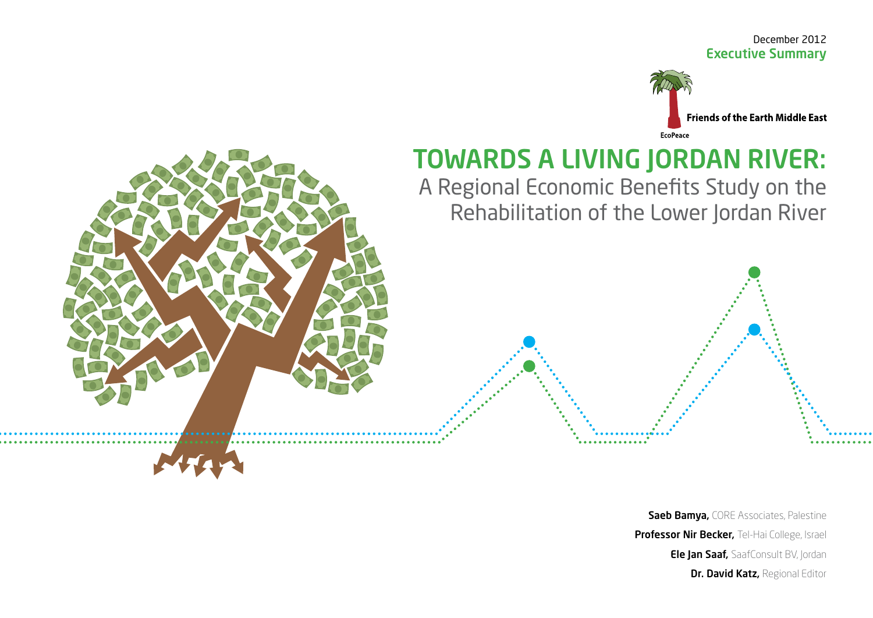#### December 2012 Executive Summary



# TOWARDS A LIVING JORDAN RIVER:

A Regional Economic Benefits Study on the Rehabilitation of the Lower Jordan River



**Saeb Bamya, CORE Associates, Palestine** Professor Nir Becker, Tel-Hai College, Israel **Ele Jan Saaf, SaafConsult BV, Jordan** Dr. David Katz, Regional Editor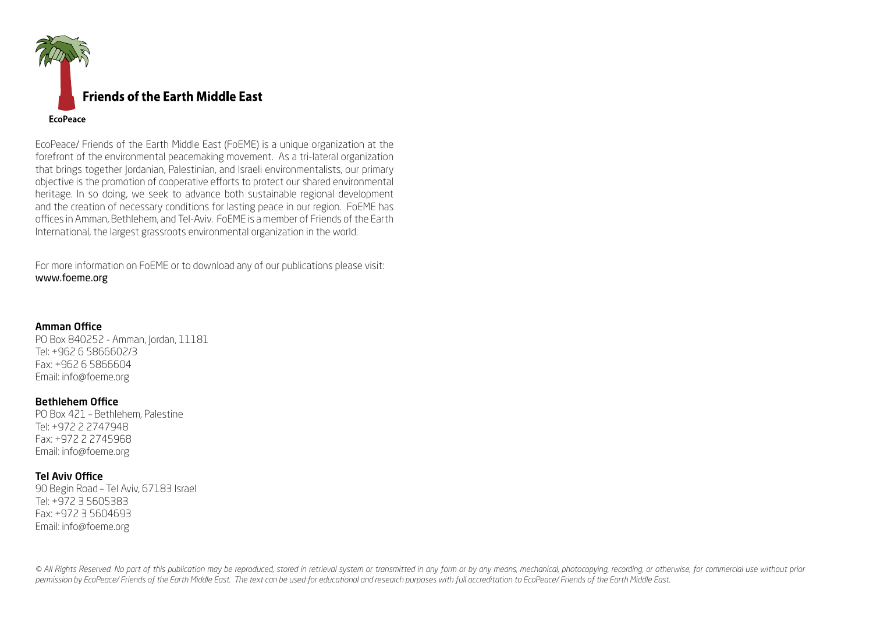

#### **EcoPeace**

EcoPeace/ Friends of the Earth Middle East (FoEME) is a unique organization at the forefront of the environmental peacemaking movement. As a tri-lateral organization that brings together Jordanian, Palestinian, and Israeli environmentalists, our primary objective is the promotion of cooperative efforts to protect our shared environmental heritage. In so doing, we seek to advance both sustainable regional development and the creation of necessary conditions for lasting peace in our region. FoEME has offices in Amman, Bethlehem, and Tel-Aviv. FoEME is a member of Friends of the Earth International, the largest grassroots environmental organization in the world.

For more information on FoEME or to download any of our publications please visit: www.foeme.org

#### Amman Office

PO Box 840252 - Amman, Jordan, 11181 Tel: +962 6 5866602/3 Fax: +962 6 5866604 Email: info@foeme.org

#### Bethlehem Office

PO Box 421 – Bethlehem, Palestine Tel: +972 2 2747948 Fax: +972 2 2745968 Email: info@foeme.org

#### Tel Aviv Office

90 Begin Road – Tel Aviv, 67183 Israel Tel: +972 3 5605383 Fax: +972 3 5604693 Email: info@foeme.org

© All Rights Reserved. No part of this publication may be reproduced, stored in retrieval system or transmitted in any form or by any means, mechanical, photocopying, recording, or otherwise, for commercial use without pri *permission by EcoPeace/ Friends of the Earth Middle East. The text can be used for educational and research purposes with full accreditation to EcoPeace/ Friends of the Earth Middle East.*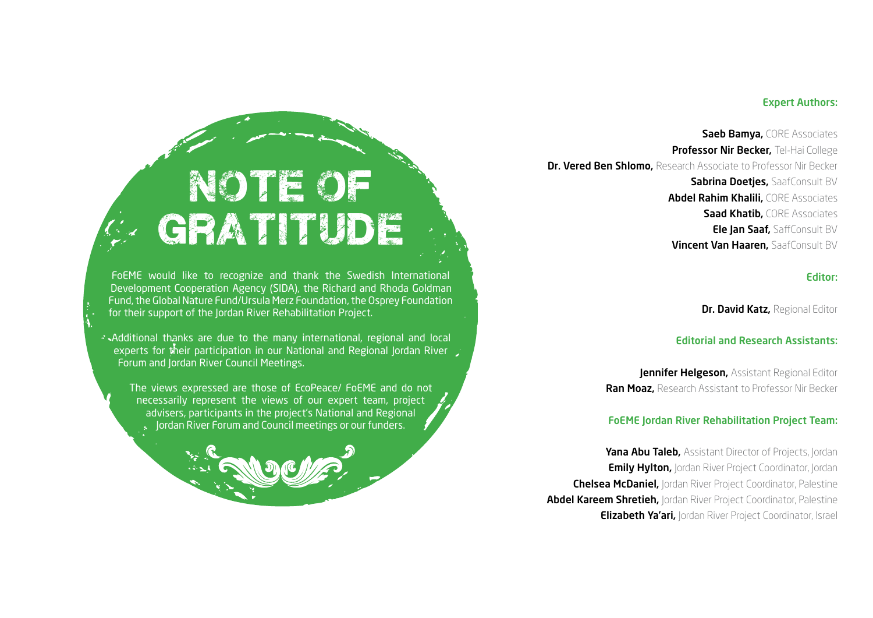#### Expert Authors:

# NOTE OF GRATITUDE

FoEME would like to recognize and thank the Swedish International Development Cooperation Agency (SIDA), the Richard and Rhoda Goldman Fund, the Global Nature Fund/Ursula Merz Foundation, the Osprey Foundation for their support of the Jordan River Rehabilitation Project.

Additional thanks are due to the many international, regional and local experts for their participation in our National and Regional lordan River Forum and Jordan River Council Meetings.

The views expressed are those of EcoPeace/ FoEME and do not necessarily represent the views of our expert team, project advisers, participants in the project's National and Regional s lordan River Forum and Council meetings or our funders.

**Saeb Bamva, CORE Associates** Professor Nir Becker, Tel-Hai College Dr. Vered Ben Shlomo, Research Associate to Professor Nir Becker Sabrina Doetjes, SaafConsult BV Abdel Rahim Khalili, CORE Associates **Saad Khatib, CORE Associates** Ele Jan Saaf, SaffConsult BV Vincent Van Haaren, SaafConsult BV

#### Editor:

Dr. David Katz, Regional Editor

#### Editorial and Research Assistants:

**Jennifer Helgeson, Assistant Regional Editor** Ran Moaz, Research Assistant to Professor Nir Becker

#### FoEME Jordan River Rehabilitation Project Team:

Yana Abu Taleb, Assistant Director of Projects, Jordan **Emily Hylton, Jordan River Project Coordinator, Jordan Chelsea McDaniel, Jordan River Project Coordinator, Palestine** Abdel Kareem Shretieh, Jordan River Project Coordinator, Palestine **Elizabeth Ya'ari, Jordan River Project Coordinator, Israel**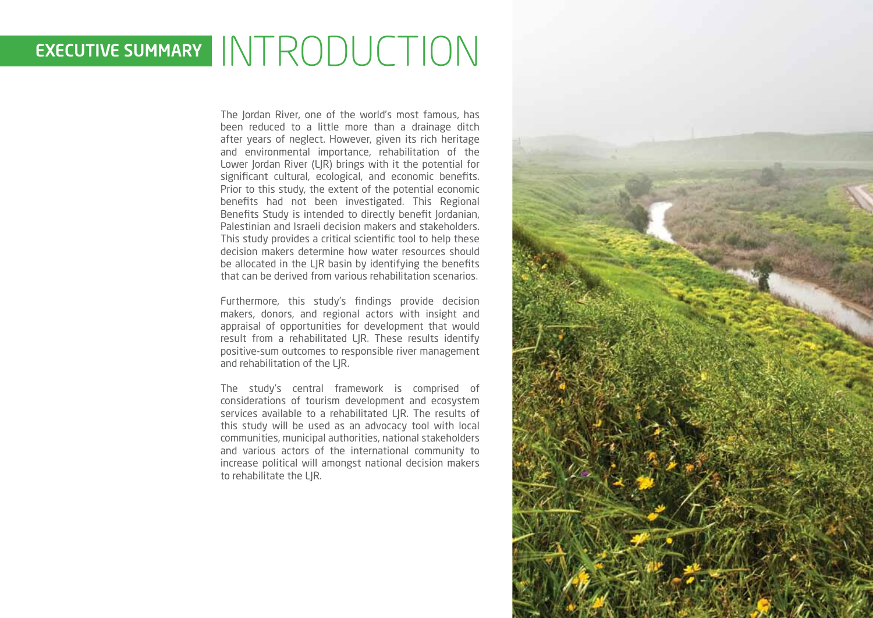# EXECUTIVE SUMMARY INTRODUCTION

The Jordan River, one of the world's most famous, has been reduced to a little more than a drainage ditch after years of neglect. However, given its rich heritage and environmental importance, rehabilitation of the Lower Jordan River (LJR) brings with it the potential for significant cultural, ecological, and economic benefits. Prior to this study, the extent of the potential economic benefits had not been investigated. This Regional Benefits Study is intended to directly benefit Jordanian, Palestinian and Israeli decision makers and stakeholders. This study provides a critical scientific tool to help these decision makers determine how water resources should be allocated in the LJR basin by identifying the benefits that can be derived from various rehabilitation scenarios.

Furthermore, this study's findings provide decision makers, donors, and regional actors with insight and appraisal of opportunities for development that would result from a rehabilitated LJR. These results identify positive-sum outcomes to responsible river management and rehabilitation of the LJR.

The study's central framework is comprised of considerations of tourism development and ecosystem services available to a rehabilitated LJR. The results of this study will be used as an advocacy tool with local communities, municipal authorities, national stakeholders and various actors of the international community to increase political will amongst national decision makers to rehabilitate the LJR.

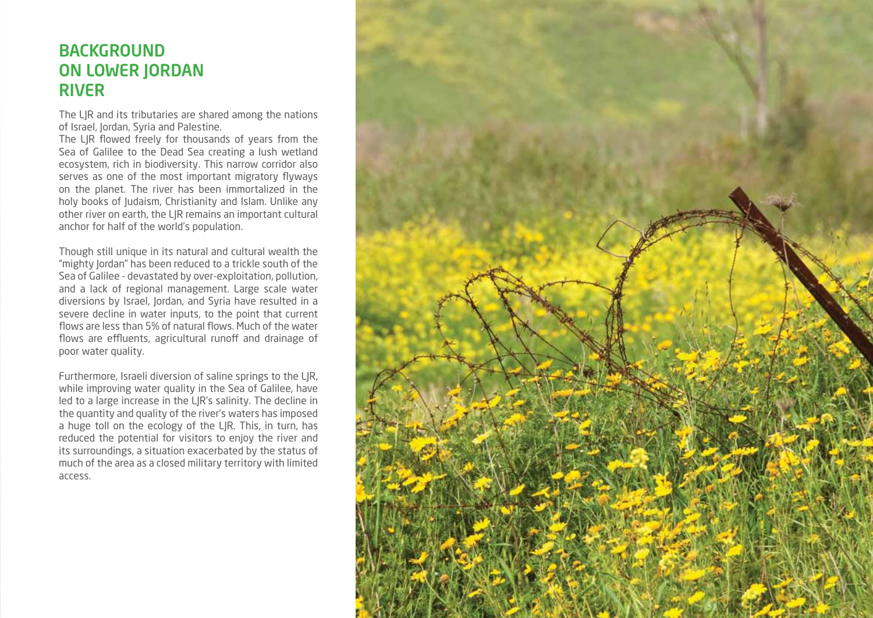# BACKGROUND ON LOWER JORDAN RIVER

The LJR and its tributaries are shared among the nations of Israel, Jordan, Syria and Palestine.

The LJR flowed freely for thousands of years from the Sea of Galilee to the Dead Sea creating a lush wetland ecosystem, rich in biodiversity. This narrow corridor also serves as one of the most important migratory flyways on the planet. The river has been immortalized in the holy books of Judaism, Christianity and Islam. Unlike any other river on earth, the LJR remains an important cultural anchor for half of the world's population.

Though still unique in its natural and cultural wealth the "mighty Jordan" has been reduced to a trickle south of the Sea of Galilee - devastated by over-exploitation, pollution, and a lack of regional management. Large scale water diversions by Israel, Jordan, and Syria have resulted in a severe decline in water inputs, to the point that current flows are less than 5% of natural flows. Much of the water flows are effluents, agricultural runoff and drainage of poor water quality.

Furthermore, Israeli diversion of saline springs to the LJR, while improving water quality in the Sea of Galilee, have led to a large increase in the LJR's salinity. The decline in the quantity and quality of the river's waters has imposed a huge toll on the ecology of the LJR. This, in turn, has reduced the potential for visitors to enjoy the river and its surroundings, a situation exacerbated by the status of much of the area as a closed military territory with limited access.

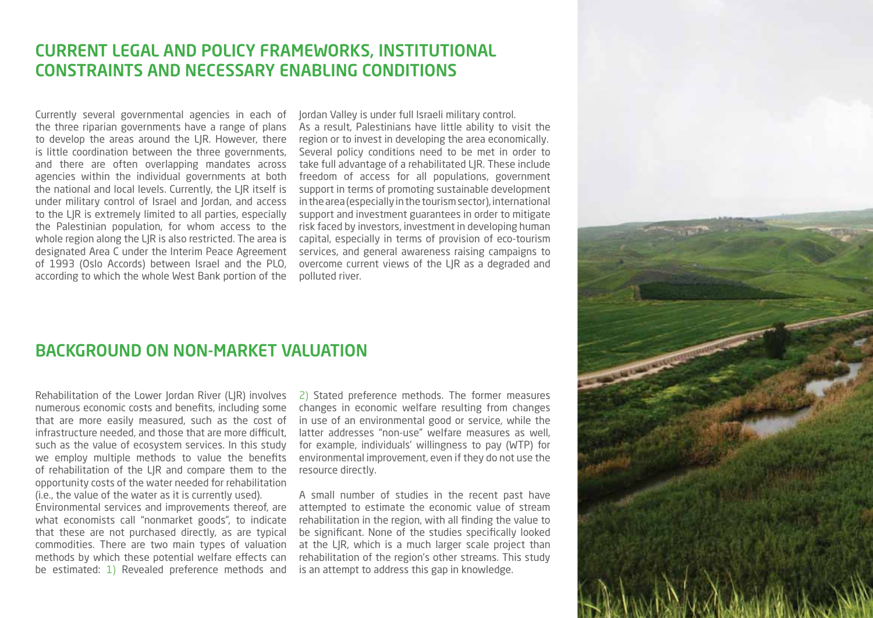## CURRENT LEGAL AND POLICY FRAMEWORKS, INSTITUTIONAL CONSTRAINTS AND NECESSARY ENABLING CONDITIONS

Currently several governmental agencies in each of the three riparian governments have a range of plans to develop the areas around the LJR. However, there is little coordination between the three governments, and there are often overlapping mandates across agencies within the individual governments at both the national and local levels. Currently, the LJR itself is under military control of Israel and Jordan, and access to the LJR is extremely limited to all parties, especially the Palestinian population, for whom access to the whole region along the LJR is also restricted. The area is designated Area C under the Interim Peace Agreement of 1993 (Oslo Accords) between Israel and the PLO, according to which the whole West Bank portion of the

Jordan Valley is under full Israeli military control. As a result, Palestinians have little ability to visit the region or to invest in developing the area economically. Several policy conditions need to be met in order to take full advantage of a rehabilitated LJR. These include freedom of access for all populations, government support in terms of promoting sustainable development in the area (especially in the tourism sector), international support and investment guarantees in order to mitigate risk faced by investors, investment in developing human capital, especially in terms of provision of eco-tourism services, and general awareness raising campaigns to overcome current views of the LJR as a degraded and polluted river.

### BACKGROUND ON NON-MARKET VALUATION

Rehabilitation of the Lower Jordan River (LJR) involves numerous economic costs and benefits, including some that are more easily measured, such as the cost of infrastructure needed, and those that are more difficult, such as the value of ecosystem services. In this study we employ multiple methods to value the benefits of rehabilitation of the LJR and compare them to the opportunity costs of the water needed for rehabilitation (i.e., the value of the water as it is currently used).

Environmental services and improvements thereof, are what economists call "nonmarket goods", to indicate that these are not purchased directly, as are typical commodities. There are two main types of valuation methods by which these potential welfare effects can be estimated: 1) Revealed preference methods and

2) Stated preference methods. The former measures changes in economic welfare resulting from changes in use of an environmental good or service, while the latter addresses "non-use" welfare measures as well, for example, individuals' willingness to pay (WTP) for environmental improvement, even if they do not use the resource directly.

A small number of studies in the recent past have attempted to estimate the economic value of stream rehabilitation in the region, with all finding the value to be significant. None of the studies specifically looked at the LJR, which is a much larger scale project than rehabilitation of the region's other streams. This study is an attempt to address this gap in knowledge.

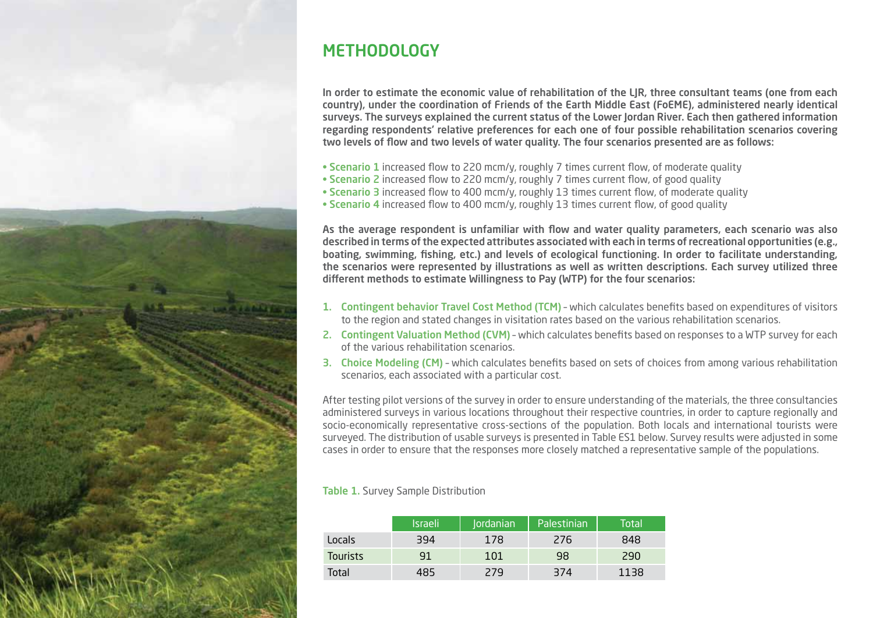

# METHODOLOGY

In order to estimate the economic value of rehabilitation of the LJR, three consultant teams (one from each country), under the coordination of Friends of the Earth Middle East (FoEME), administered nearly identical surveys. The surveys explained the current status of the Lower Jordan River. Each then gathered information regarding respondents' relative preferences for each one of four possible rehabilitation scenarios covering two levels of flow and two levels of water quality. The four scenarios presented are as follows:

- Scenario 1 increased flow to 220 mcm/y, roughly 7 times current flow, of moderate quality
- Scenario 2 increased flow to 220 mcm/y, roughly 7 times current flow, of good quality
- Scenario 3 increased flow to 400 mcm/y, roughly 13 times current flow, of moderate quality
- Scenario 4 increased flow to 400 mcm/y, roughly 13 times current flow, of good quality

As the average respondent is unfamiliar with flow and water quality parameters, each scenario was also described in terms of the expected attributes associated with each in terms of recreational opportunities (e.g., boating, swimming, fishing, etc.) and levels of ecological functioning. In order to facilitate understanding, the scenarios were represented by illustrations as well as written descriptions. Each survey utilized three different methods to estimate Willingness to Pay (WTP) for the four scenarios:

- 1. Contingent behavior Travel Cost Method (TCM) which calculates benefits based on expenditures of visitors to the region and stated changes in visitation rates based on the various rehabilitation scenarios.
- 2. Contingent Valuation Method (CVM) which calculates benefits based on responses to a WTP survey for each of the various rehabilitation scenarios.
- 3. Choice Modeling (CM) which calculates benefits based on sets of choices from among various rehabilitation scenarios, each associated with a particular cost.

After testing pilot versions of the survey in order to ensure understanding of the materials, the three consultancies administered surveys in various locations throughout their respective countries, in order to capture regionally and socio-economically representative cross-sections of the population. Both locals and international tourists were surveyed. The distribution of usable surveys is presented in Table ES1 below. Survey results were adjusted in some cases in order to ensure that the responses more closely matched a representative sample of the populations.

#### Table 1. Survey Sample Distribution

|                 | <b>Israeli</b> | <b>Jordanian</b> | Palestinian | <b>Total</b> |
|-----------------|----------------|------------------|-------------|--------------|
| Locals          | 394            | 178              | 276         | 848          |
| <b>Tourists</b> | 91             | 101              | 98          | 290          |
| Total           | 485.           | 279              | 374         | 1138         |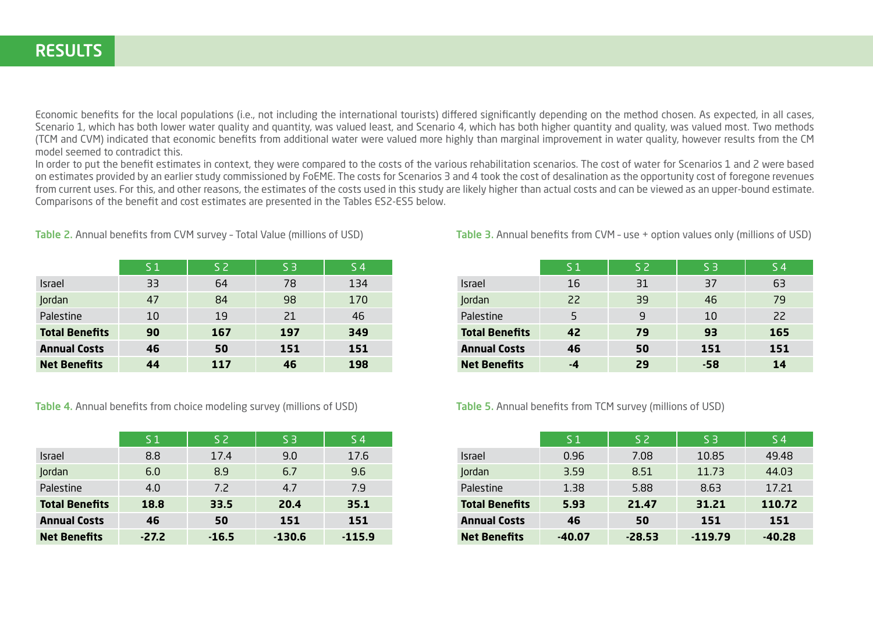Economic benefits for the local populations (i.e., not including the international tourists) differed significantly depending on the method chosen. As expected, in all cases, Scenario 1, which has both lower water quality and quantity, was valued least, and Scenario 4, which has both higher quantity and quality, was valued most. Two methods (TCM and CVM) indicated that economic benefits from additional water were valued more highly than marginal improvement in water quality, however results from the CM model seemed to contradict this.

In order to put the benefit estimates in context, they were compared to the costs of the various rehabilitation scenarios. The cost of water for Scenarios 1 and 2 were based on estimates provided by an earlier study commissioned by FoEME. The costs for Scenarios 3 and 4 took the cost of desalination as the opportunity cost of foregone revenues from current uses. For this, and other reasons, the estimates of the costs used in this study are likely higher than actual costs and can be viewed as an upper-bound estimate. Comparisons of the benefit and cost estimates are presented in the Tables ES2-ES5 below.

|                       | 'S 1. | S <sub>2</sub> | $\overline{5}$ 3 | S 4 |
|-----------------------|-------|----------------|------------------|-----|
| <b>Israel</b>         | 33    | 64             | 78               | 134 |
| Jordan                | 47    | 84             | 98               | 170 |
| Palestine             | 10    | 19             | 21               | 46  |
| <b>Total Benefits</b> | 90    | 167            | 197              | 349 |
| <b>Annual Costs</b>   | 46    | 50             | 151              | 151 |
| <b>Net Benefits</b>   | 44    | 117            | 46               | 198 |

Table 2. Annual benefits from CVM survey – Total Value (millions of USD)

Table 3. Annual benefits from CVM – use + option values only (millions of USD)

|                       | 'S 1. | S 2 | S3  | S 4 |
|-----------------------|-------|-----|-----|-----|
| <b>Israel</b>         | 16    | 31  | 37  | 63  |
| Jordan                | 22    | 39  | 46  | 79  |
| Palestine             | 5     | 9   | 10  | 22  |
| <b>Total Benefits</b> | 42    | 79  | 93  | 165 |
| <b>Annual Costs</b>   | 46    | 50  | 151 | 151 |
| <b>Net Benefits</b>   | -4    | 29  | -58 | 14  |

Table 4. Annual benefits from choice modeling survey (millions of USD)

|                       | S <sub>1</sub> | S <sub>2</sub> | S3       | S 4      |
|-----------------------|----------------|----------------|----------|----------|
| <b>Israel</b>         | 8.8            | 17.4           | 9.0      | 17.6     |
| Jordan                | 6.0            | 8.9            | 6.7      | 9.6      |
| Palestine             | 4.0            | 7.2            | 4.7      | 7.9      |
| <b>Total Benefits</b> | 18.8           | 33.5           | 20.4     | 35.1     |
| <b>Annual Costs</b>   | 46             | 50             | 151      | 151      |
| <b>Net Benefits</b>   | $-27.2$        | $-16.5$        | $-130.6$ | $-115.9$ |

Table 5. Annual benefits from TCM survey (millions of USD)

|                       | S <sub>1</sub> | S <sub>2</sub> | S <sub>3</sub> | IS 4.  |
|-----------------------|----------------|----------------|----------------|--------|
| <b>Israel</b>         | 0.96           | 7.08           | 10.85          | 49.48  |
| Jordan                | 3.59           | 8.51           | 11.73          | 44.03  |
| Palestine             | 1.38           | 5.88           | 8.63           | 17.21  |
| <b>Total Benefits</b> | 5.93           | 21.47          | 31.21          | 110.72 |
| <b>Annual Costs</b>   | 46             | 50             | 151            | 151    |
| <b>Net Benefits</b>   | $-40.07$       | $-28.53$       | $-119.79$      | -40.28 |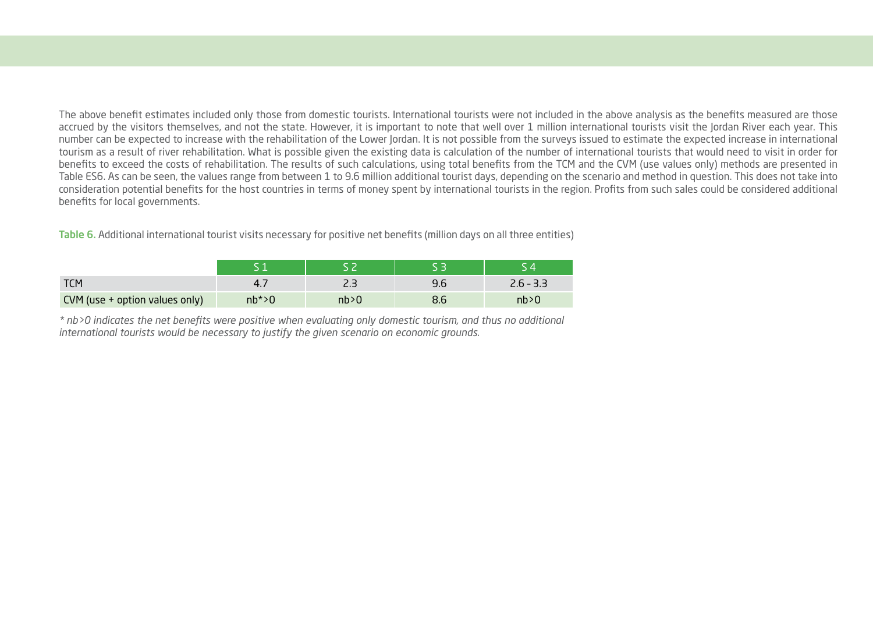The above benefit estimates included only those from domestic tourists. International tourists were not included in the above analysis as the benefits measured are those accrued by the visitors themselves, and not the state. However, it is important to note that well over 1 million international tourists visit the lordan River each year. This number can be expected to increase with the rehabilitation of the Lower Jordan. It is not possible from the surveys issued to estimate the expected increase in international tourism as a result of river rehabilitation. What is possible given the existing data is calculation of the number of international tourists that would need to visit in order for benefits to exceed the costs of rehabilitation. The results of such calculations, using total benefits from the TCM and the CVM (use values only) methods are presented in Table ES6. As can be seen, the values range from between 1 to 9.6 million additional tourist days, depending on the scenario and method in question. This does not take into consideration potential benefits for the host countries in terms of money spent by international tourists in the region. Profits from such sales could be considered additional benefits for local governments.

Table 6. Additional international tourist visits necessary for positive net benefits (million days on all three entities)

| <b>TCM</b>                     |         |        |     | $2.6 - 3.3$ |
|--------------------------------|---------|--------|-----|-------------|
| CVM (use + option values only) | $nb*>0$ | nb > 0 | o.o | nb > 0      |

*\* nb>0 indicates the net benefits were positive when evaluating only domestic tourism, and thus no additional international tourists would be necessary to justify the given scenario on economic grounds.*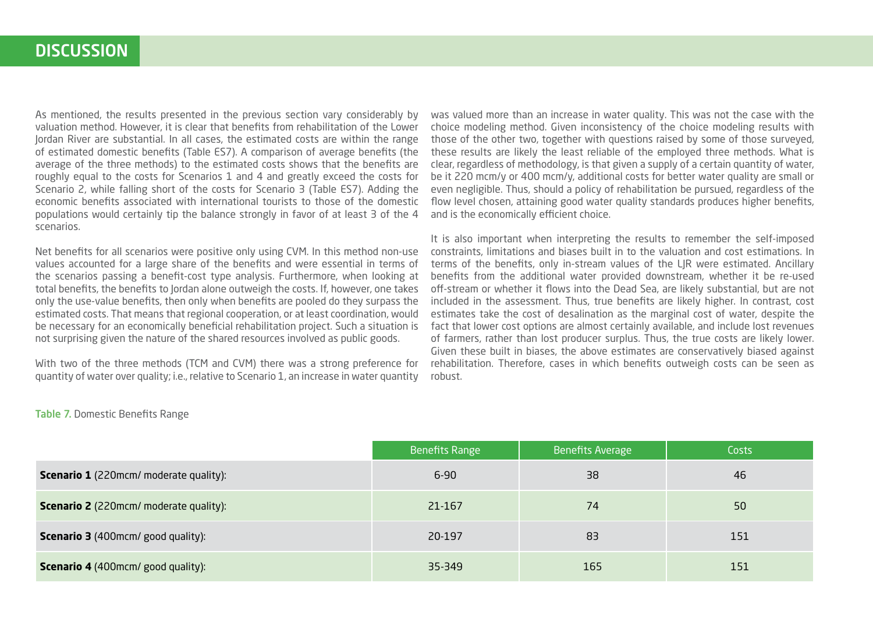# **DISCUSSION**

As mentioned, the results presented in the previous section vary considerably by valuation method. However, it is clear that benefits from rehabilitation of the Lower Jordan River are substantial. In all cases, the estimated costs are within the range of estimated domestic benefits (Table ES7). A comparison of average benefits (the average of the three methods) to the estimated costs shows that the benefits are roughly equal to the costs for Scenarios 1 and 4 and greatly exceed the costs for Scenario 2, while falling short of the costs for Scenario 3 (Table ES7). Adding the economic benefits associated with international tourists to those of the domestic populations would certainly tip the balance strongly in favor of at least 3 of the 4 scenarios.

Net benefits for all scenarios were positive only using CVM. In this method non-use values accounted for a large share of the benefits and were essential in terms of the scenarios passing a benefit-cost type analysis. Furthermore, when looking at total benefits, the benefits to Jordan alone outweigh the costs. If, however, one takes only the use-value benefits, then only when benefits are pooled do they surpass the estimated costs. That means that regional cooperation, or at least coordination, would be necessary for an economically beneficial rehabilitation project. Such a situation is not surprising given the nature of the shared resources involved as public goods.

With two of the three methods (TCM and CVM) there was a strong preference for quantity of water over quality; i.e., relative to Scenario 1, an increase in water quantity

was valued more than an increase in water quality. This was not the case with the choice modeling method. Given inconsistency of the choice modeling results with those of the other two, together with questions raised by some of those surveyed, these results are likely the least reliable of the employed three methods. What is clear, regardless of methodology, is that given a supply of a certain quantity of water, be it 220 mcm/y or 400 mcm/y, additional costs for better water quality are small or even negligible. Thus, should a policy of rehabilitation be pursued, regardless of the flow level chosen, attaining good water quality standards produces higher benefits, and is the economically efficient choice.

It is also important when interpreting the results to remember the self-imposed constraints, limitations and biases built in to the valuation and cost estimations. In terms of the benefits, only in-stream values of the LJR were estimated. Ancillary benefits from the additional water provided downstream, whether it be re-used off-stream or whether it flows into the Dead Sea, are likely substantial, but are not included in the assessment. Thus, true benefits are likely higher. In contrast, cost estimates take the cost of desalination as the marginal cost of water, despite the fact that lower cost options are almost certainly available, and include lost revenues of farmers, rather than lost producer surplus. Thus, the true costs are likely lower. Given these built in biases, the above estimates are conservatively biased against rehabilitation. Therefore, cases in which benefits outweigh costs can be seen as robust.

#### Table 7. Domestic Benefits Range

|                                               | <b>Benefits Range</b> | <b>Benefits Average</b> | Costs |
|-----------------------------------------------|-----------------------|-------------------------|-------|
| <b>Scenario 1</b> (220mcm/ moderate quality): | $6-90$                | 38                      | 46    |
| <b>Scenario 2</b> (220mcm/ moderate quality): | 21-167                | 74                      | 50    |
| <b>Scenario 3</b> (400mcm/ good quality):     | 20-197                | 83                      | 151   |
| <b>Scenario 4</b> (400mcm/ good quality):     | 35-349                | 165                     | 151   |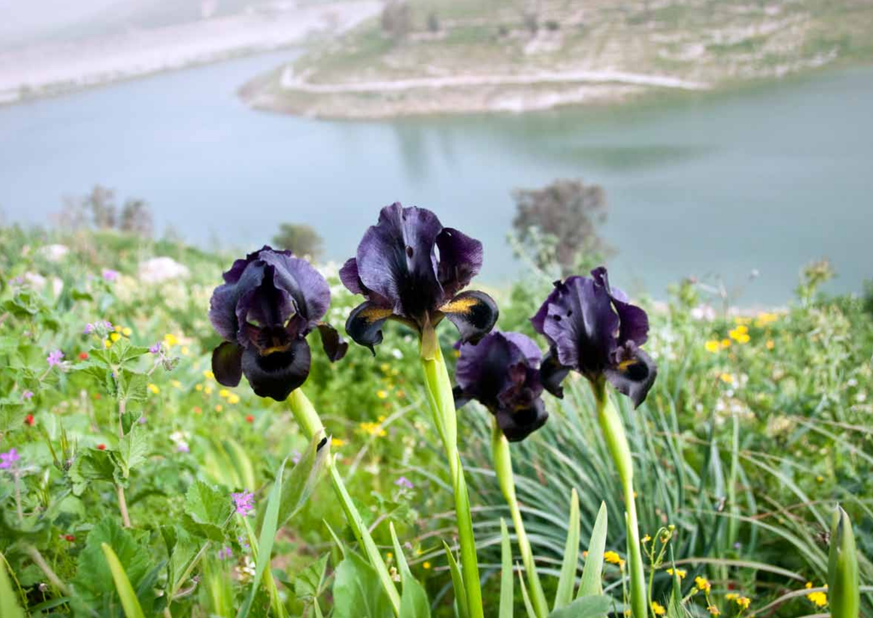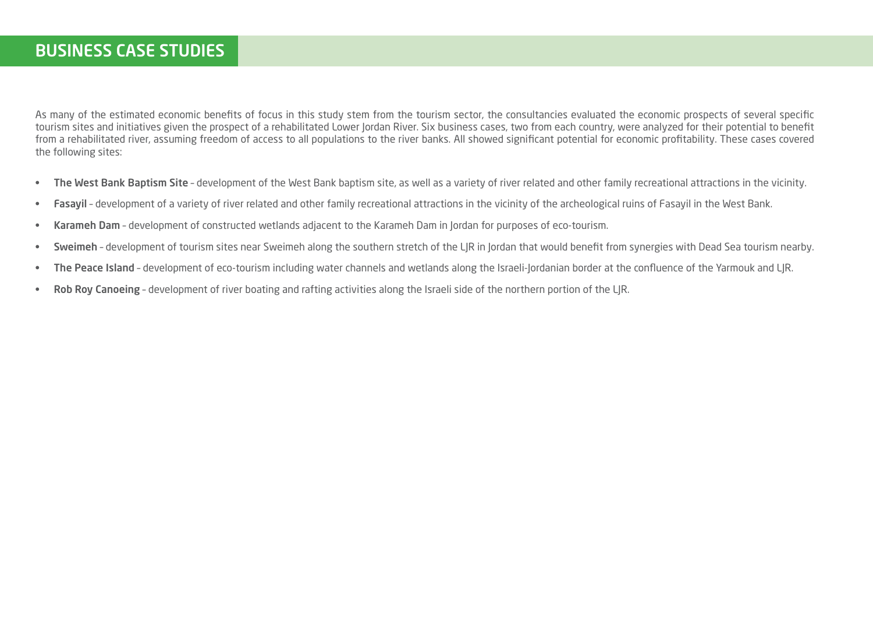As many of the estimated economic benefits of focus in this study stem from the tourism sector, the consultancies evaluated the economic prospects of several specific tourism sites and initiatives given the prospect of a rehabilitated Lower Jordan River. Six business cases, two from each country, were analyzed for their potential to benefit from a rehabilitated river, assuming freedom of access to all populations to the river banks. All showed significant potential for economic profitability. These cases covered the following sites:

- The West Bank Baptism Site development of the West Bank baptism site, as well as a variety of river related and other family recreational attractions in the vicinity.
- Fasayil development of a variety of river related and other family recreational attractions in the vicinity of the archeological ruins of Fasayil in the West Bank.
- Karameh Dam development of constructed wetlands adjacent to the Karameh Dam in Jordan for purposes of eco-tourism.
- Sweimeh development of tourism sites near Sweimeh along the southern stretch of the LIR in Jordan that would benefit from synergies with Dead Sea tourism nearby.
- The Peace Island development of eco-tourism including water channels and wetlands along the Israeli-Iordanian border at the confluence of the Yarmouk and LIR.
- Rob Roy Canoeing development of river boating and rafting activities along the Israeli side of the northern portion of the LJR.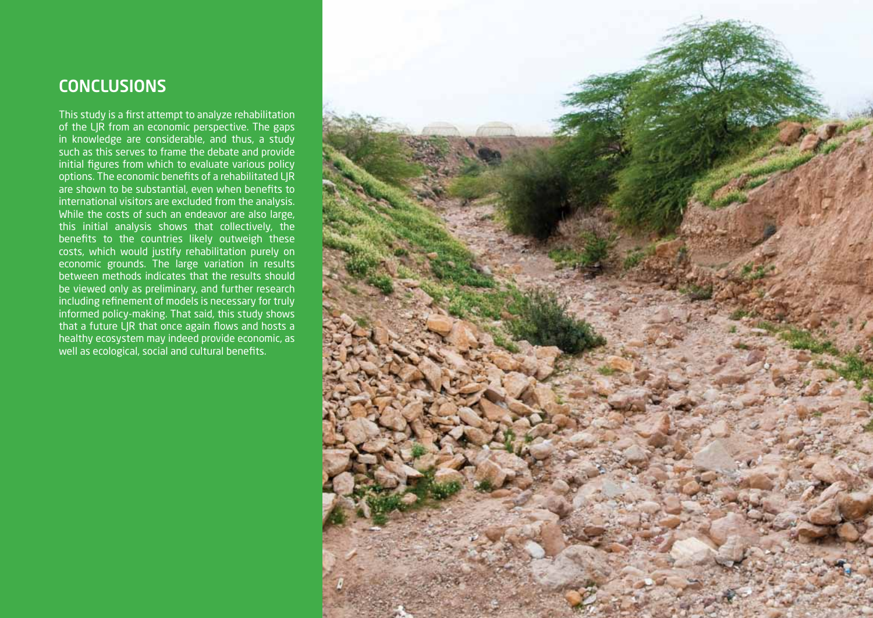## **CONCLUSIONS**

This study is a first attempt to analyze rehabilitation of the LJR from an economic perspective. The gaps in knowledge are considerable, and thus, a study such as this serves to frame the debate and provide initial figures from which to evaluate various policy options. The economic benefits of a rehabilitated LJR are shown to be substantial, even when benefits to international visitors are excluded from the analysis. While the costs of such an endeavor are also large, this initial analysis shows that collectively, the benefits to the countries likely outweigh these costs, which would justify rehabilitation purely on economic grounds. The large variation in results between methods indicates that the results should be viewed only as preliminary, and further research including refinement of models is necessary for truly informed policy-making. That said, this study shows that a future LJR that once again flows and hosts a healthy ecosystem may indeed provide economic, as well as ecological, social and cultural benefits.

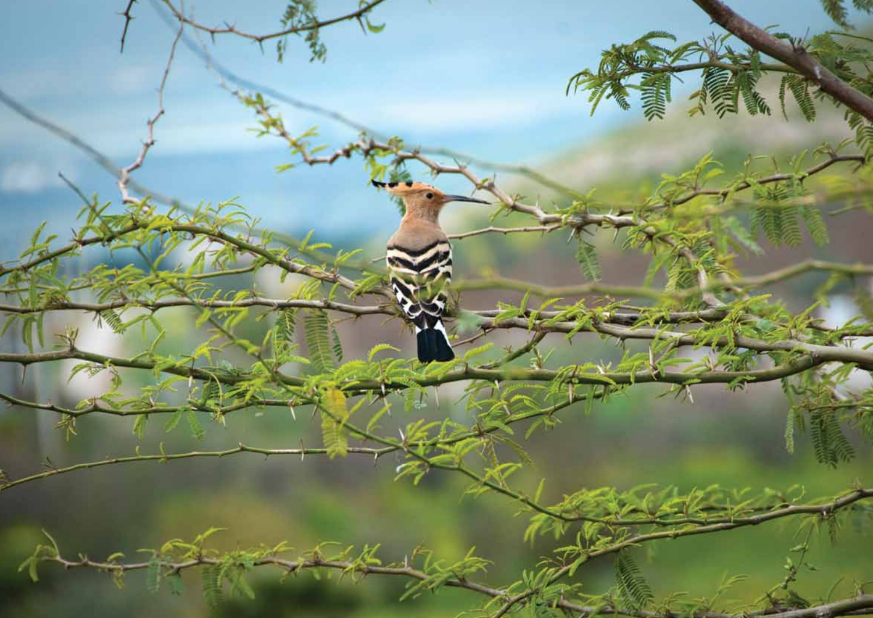